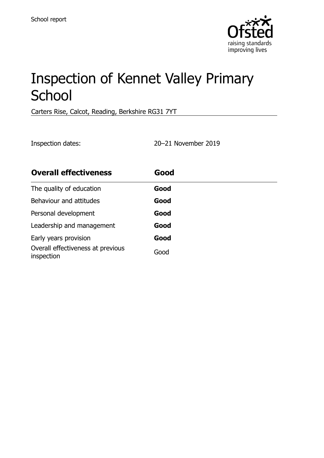

# Inspection of Kennet Valley Primary **School**

Carters Rise, Calcot, Reading, Berkshire RG31 7YT

Inspection dates: 20–21 November 2019

| <b>Overall effectiveness</b>                    | Good |  |
|-------------------------------------------------|------|--|
| The quality of education                        | Good |  |
| Behaviour and attitudes                         | Good |  |
| Personal development                            | Good |  |
| Leadership and management                       | Good |  |
| Early years provision                           | Good |  |
| Overall effectiveness at previous<br>inspection | Good |  |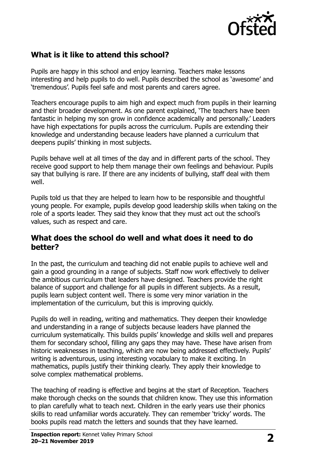

## **What is it like to attend this school?**

Pupils are happy in this school and enjoy learning. Teachers make lessons interesting and help pupils to do well. Pupils described the school as 'awesome' and 'tremendous'. Pupils feel safe and most parents and carers agree.

Teachers encourage pupils to aim high and expect much from pupils in their learning and their broader development. As one parent explained, 'The teachers have been fantastic in helping my son grow in confidence academically and personally.' Leaders have high expectations for pupils across the curriculum. Pupils are extending their knowledge and understanding because leaders have planned a curriculum that deepens pupils' thinking in most subjects.

Pupils behave well at all times of the day and in different parts of the school. They receive good support to help them manage their own feelings and behaviour. Pupils say that bullying is rare. If there are any incidents of bullying, staff deal with them well.

Pupils told us that they are helped to learn how to be responsible and thoughtful young people. For example, pupils develop good leadership skills when taking on the role of a sports leader. They said they know that they must act out the school's values, such as respect and care.

### **What does the school do well and what does it need to do better?**

In the past, the curriculum and teaching did not enable pupils to achieve well and gain a good grounding in a range of subjects. Staff now work effectively to deliver the ambitious curriculum that leaders have designed. Teachers provide the right balance of support and challenge for all pupils in different subjects. As a result, pupils learn subject content well. There is some very minor variation in the implementation of the curriculum, but this is improving quickly.

Pupils do well in reading, writing and mathematics. They deepen their knowledge and understanding in a range of subjects because leaders have planned the curriculum systematically. This builds pupils' knowledge and skills well and prepares them for secondary school, filling any gaps they may have. These have arisen from historic weaknesses in teaching, which are now being addressed effectively. Pupils' writing is adventurous, using interesting vocabulary to make it exciting. In mathematics, pupils justify their thinking clearly. They apply their knowledge to solve complex mathematical problems.

The teaching of reading is effective and begins at the start of Reception. Teachers make thorough checks on the sounds that children know. They use this information to plan carefully what to teach next. Children in the early years use their phonics skills to read unfamiliar words accurately. They can remember 'tricky' words. The books pupils read match the letters and sounds that they have learned.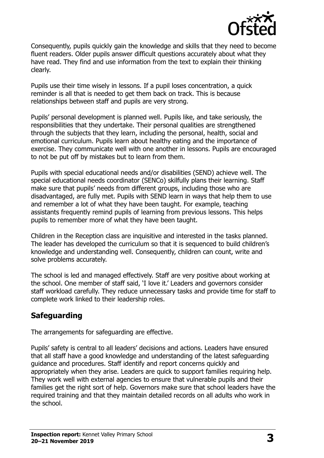

Consequently, pupils quickly gain the knowledge and skills that they need to become fluent readers. Older pupils answer difficult questions accurately about what they have read. They find and use information from the text to explain their thinking clearly.

Pupils use their time wisely in lessons. If a pupil loses concentration, a quick reminder is all that is needed to get them back on track. This is because relationships between staff and pupils are very strong.

Pupils' personal development is planned well. Pupils like, and take seriously, the responsibilities that they undertake. Their personal qualities are strengthened through the subjects that they learn, including the personal, health, social and emotional curriculum. Pupils learn about healthy eating and the importance of exercise. They communicate well with one another in lessons. Pupils are encouraged to not be put off by mistakes but to learn from them.

Pupils with special educational needs and/or disabilities (SEND) achieve well. The special educational needs coordinator (SENCo) skilfully plans their learning. Staff make sure that pupils' needs from different groups, including those who are disadvantaged, are fully met. Pupils with SEND learn in ways that help them to use and remember a lot of what they have been taught. For example, teaching assistants frequently remind pupils of learning from previous lessons. This helps pupils to remember more of what they have been taught.

Children in the Reception class are inquisitive and interested in the tasks planned. The leader has developed the curriculum so that it is sequenced to build children's knowledge and understanding well. Consequently, children can count, write and solve problems accurately.

The school is led and managed effectively. Staff are very positive about working at the school. One member of staff said, 'I love it.' Leaders and governors consider staff workload carefully. They reduce unnecessary tasks and provide time for staff to complete work linked to their leadership roles.

## **Safeguarding**

The arrangements for safeguarding are effective.

Pupils' safety is central to all leaders' decisions and actions. Leaders have ensured that all staff have a good knowledge and understanding of the latest safeguarding guidance and procedures. Staff identify and report concerns quickly and appropriately when they arise. Leaders are quick to support families requiring help. They work well with external agencies to ensure that vulnerable pupils and their families get the right sort of help. Governors make sure that school leaders have the required training and that they maintain detailed records on all adults who work in the school.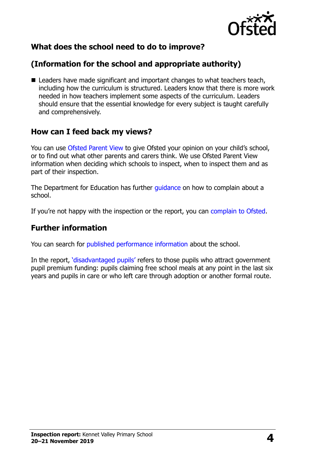

## **What does the school need to do to improve?**

## **(Information for the school and appropriate authority)**

■ Leaders have made significant and important changes to what teachers teach, including how the curriculum is structured. Leaders know that there is more work needed in how teachers implement some aspects of the curriculum. Leaders should ensure that the essential knowledge for every subject is taught carefully and comprehensively.

### **How can I feed back my views?**

You can use [Ofsted Parent View](http://parentview.ofsted.gov.uk/) to give Ofsted your opinion on your child's school, or to find out what other parents and carers think. We use Ofsted Parent View information when deciding which schools to inspect, when to inspect them and as part of their inspection.

The Department for Education has further [guidance](http://www.gov.uk/complain-about-school) on how to complain about a school.

If you're not happy with the inspection or the report, you can [complain to Ofsted.](http://www.gov.uk/complain-ofsted-report)

#### **Further information**

You can search for [published performance information](http://www.compare-school-performance.service.gov.uk/) about the school.

In the report, '[disadvantaged pupils](http://www.gov.uk/guidance/pupil-premium-information-for-schools-and-alternative-provision-settings)' refers to those pupils who attract government pupil premium funding: pupils claiming free school meals at any point in the last six years and pupils in care or who left care through adoption or another formal route.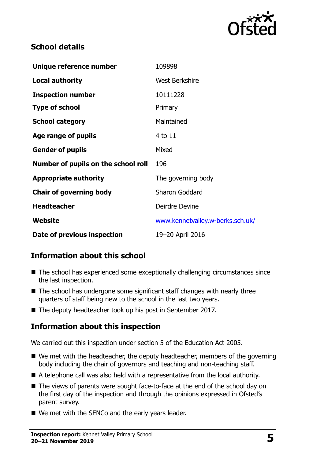

## **School details**

| Unique reference number             | 109898                           |
|-------------------------------------|----------------------------------|
| <b>Local authority</b>              | <b>West Berkshire</b>            |
| <b>Inspection number</b>            | 10111228                         |
| <b>Type of school</b>               | Primary                          |
| <b>School category</b>              | Maintained                       |
| Age range of pupils                 | 4 to 11                          |
| <b>Gender of pupils</b>             | Mixed                            |
| Number of pupils on the school roll | 196                              |
| <b>Appropriate authority</b>        | The governing body               |
| <b>Chair of governing body</b>      | <b>Sharon Goddard</b>            |
| <b>Headteacher</b>                  | Deirdre Devine                   |
| Website                             | www.kennetvalley.w-berks.sch.uk/ |
| Date of previous inspection         | 19-20 April 2016                 |

## **Information about this school**

- The school has experienced some exceptionally challenging circumstances since the last inspection.
- $\blacksquare$  The school has undergone some significant staff changes with nearly three quarters of staff being new to the school in the last two years.
- The deputy headteacher took up his post in September 2017.

## **Information about this inspection**

We carried out this inspection under section 5 of the Education Act 2005.

- We met with the headteacher, the deputy headteacher, members of the governing body including the chair of governors and teaching and non-teaching staff.
- A telephone call was also held with a representative from the local authority.
- The views of parents were sought face-to-face at the end of the school day on the first day of the inspection and through the opinions expressed in Ofsted's parent survey.
- We met with the SENCo and the early years leader.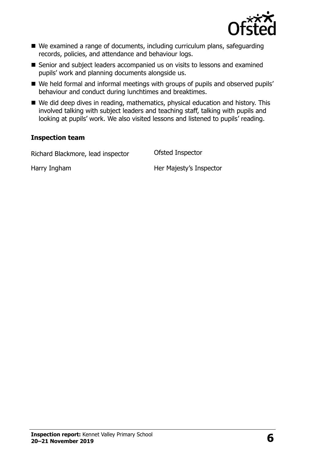

- We examined a range of documents, including curriculum plans, safeguarding records, policies, and attendance and behaviour logs.
- Senior and subject leaders accompanied us on visits to lessons and examined pupils' work and planning documents alongside us.
- We held formal and informal meetings with groups of pupils and observed pupils' behaviour and conduct during lunchtimes and breaktimes.
- We did deep dives in reading, mathematics, physical education and history. This involved talking with subject leaders and teaching staff, talking with pupils and looking at pupils' work. We also visited lessons and listened to pupils' reading.

#### **Inspection team**

Richard Blackmore, lead inspector Ofsted Inspector

Harry Ingham Her Majesty's Inspector